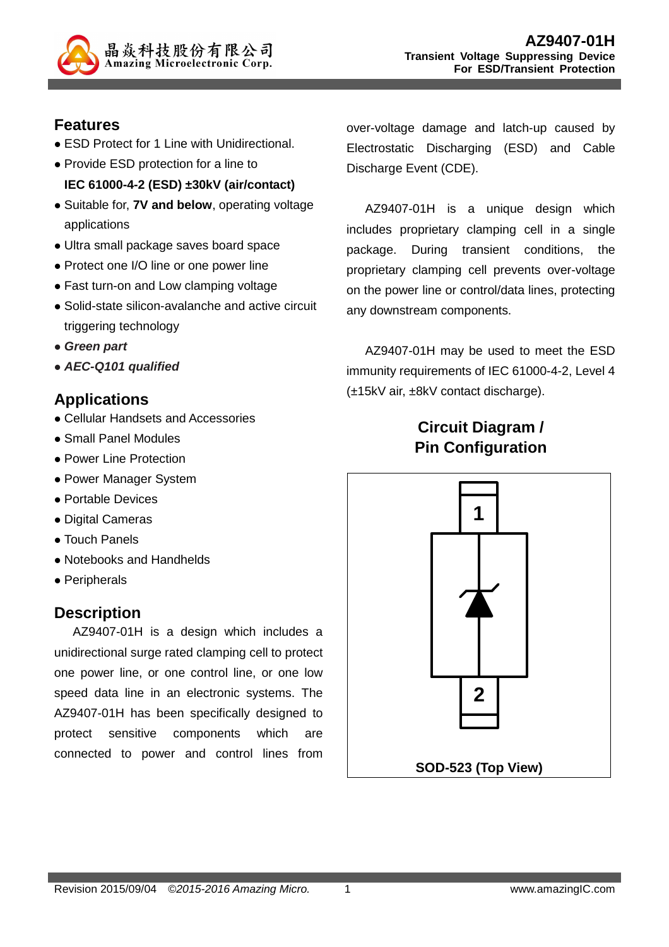

#### **Features**

- ESD Protect for 1 Line with Unidirectional.
- Provide ESD protection for a line to **IEC 61000-4-2 (ESD) ±30kV (air/contact)**
- Suitable for, **7V and below**, operating voltage applications
- Ultra small package saves board space
- Protect one I/O line or one power line
- Fast turn-on and Low clamping voltage
- Solid-state silicon-avalanche and active circuit triggering technology
- **Green part**
- **AEC-Q101 qualified**

## **Applications**

- Cellular Handsets and Accessories
- Small Panel Modules
- Power Line Protection
- Power Manager System
- Portable Devices
- Digital Cameras
- Touch Panels
- Notebooks and Handhelds
- Peripherals

# **Description**

AZ9407-01H is a design which includes a unidirectional surge rated clamping cell to protect one power line, or one control line, or one low speed data line in an electronic systems. The AZ9407-01H has been specifically designed to protect sensitive components which are connected to power and control lines from

over-voltage damage and latch-up caused by Electrostatic Discharging (ESD) and Cable Discharge Event (CDE).

AZ9407-01H is a unique design which includes proprietary clamping cell in a single package. During transient conditions, the proprietary clamping cell prevents over-voltage on the power line or control/data lines, protecting any downstream components.

AZ9407-01H may be used to meet the ESD immunity requirements of IEC 61000-4-2, Level 4 (±15kV air, ±8kV contact discharge).

# **Circuit Diagram / Pin Configuration**

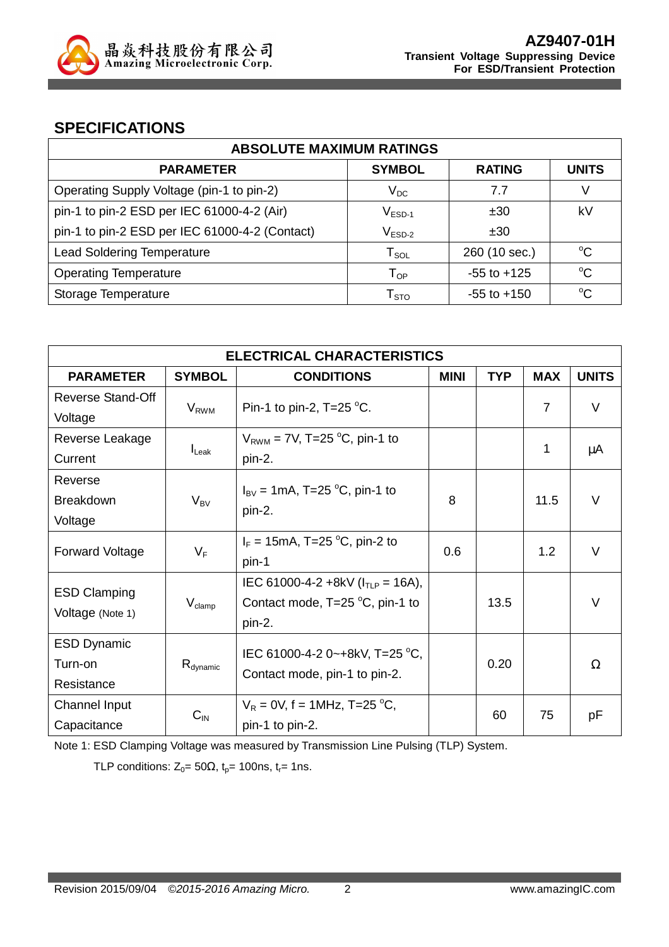

## **SPECIFICATIONS**

| <b>ABSOLUTE MAXIMUM RATINGS</b>                |                                      |                 |              |  |
|------------------------------------------------|--------------------------------------|-----------------|--------------|--|
| <b>PARAMETER</b>                               | <b>SYMBOL</b>                        | <b>RATING</b>   | <b>UNITS</b> |  |
| Operating Supply Voltage (pin-1 to pin-2)      | $\mathsf{V}_\mathsf{DC}$             | 7.7             | V            |  |
| pin-1 to pin-2 ESD per IEC 61000-4-2 (Air)     | $V_{ESD-1}$                          | ±30             | k٧           |  |
| pin-1 to pin-2 ESD per IEC 61000-4-2 (Contact) | $\mathsf{V}_{\mathsf{ESD}\text{-}2}$ | ±30             |              |  |
| <b>Lead Soldering Temperature</b>              | ${\sf T}_{\sf SOL}$                  | 260 (10 sec.)   | $^{\circ}C$  |  |
| <b>Operating Temperature</b>                   | ${\mathsf T}_{\mathsf {OP}}$         | $-55$ to $+125$ | $\rm ^{o}C$  |  |
| Storage Temperature                            | I STO                                | $-55$ to $+150$ | $\rm ^{o}C$  |  |

| <b>ELECTRICAL CHARACTERISTICS</b> |                                          |                                           |             |            |                |              |
|-----------------------------------|------------------------------------------|-------------------------------------------|-------------|------------|----------------|--------------|
| <b>PARAMETER</b>                  | <b>SYMBOL</b>                            | <b>CONDITIONS</b>                         | <b>MINI</b> | <b>TYP</b> | <b>MAX</b>     | <b>UNITS</b> |
| <b>Reverse Stand-Off</b>          | $V_{RWM}$                                | Pin-1 to pin-2, $T=25$ °C.                |             |            | $\overline{7}$ | $\vee$       |
| Voltage                           |                                          |                                           |             |            |                |              |
| Reverse Leakage                   | $I_{\text{L}eak}$                        | $V_{RWM}$ = 7V, T=25 °C, pin-1 to         |             |            | 1              | μA           |
| Current                           |                                          | pin-2.                                    |             |            |                |              |
| Reverse                           |                                          |                                           |             |            |                |              |
| <b>Breakdown</b>                  | $V_{BV}$                                 | $I_{BV}$ = 1mA, T=25 °C, pin-1 to         | 8           |            | 11.5           | V            |
| Voltage                           |                                          | pin-2.                                    |             |            |                |              |
| <b>Forward Voltage</b><br>$V_F$   | $I_F = 15 \text{mA}$ , T=25 °C, pin-2 to | 0.6                                       |             | 1.2        | $\vee$         |              |
|                                   |                                          | pin-1                                     |             |            |                |              |
|                                   |                                          | IEC 61000-4-2 +8kV ( $I_{TLP}$ = 16A),    |             |            |                |              |
| <b>ESD Clamping</b>               | $V_{\text{clamp}}$                       | Contact mode, $T=25\text{ °C}$ , pin-1 to |             | 13.5       |                | $\vee$       |
| Voltage (Note 1)                  |                                          | pin-2.                                    |             |            |                |              |
| <b>ESD Dynamic</b>                |                                          | IEC 61000-4-2 0~+8kV, T=25 °C,            |             |            |                |              |
| Turn-on                           | $R_{dynamic}$                            |                                           |             | 0.20       |                | Ω            |
| Resistance                        |                                          | Contact mode, pin-1 to pin-2.             |             |            |                |              |
| Channel Input                     |                                          | $V_R = 0V$ , f = 1MHz, T=25 °C,           | 60          |            | 75             |              |
| $C_{\text{IN}}$<br>Capacitance    |                                          | pin-1 to pin-2.                           |             |            |                | рF           |

Note 1: ESD Clamping Voltage was measured by Transmission Line Pulsing (TLP) System.

TLP conditions:  $Z_0 = 50\Omega$ ,  $t_p = 100$ ns,  $t_r = 1$ ns.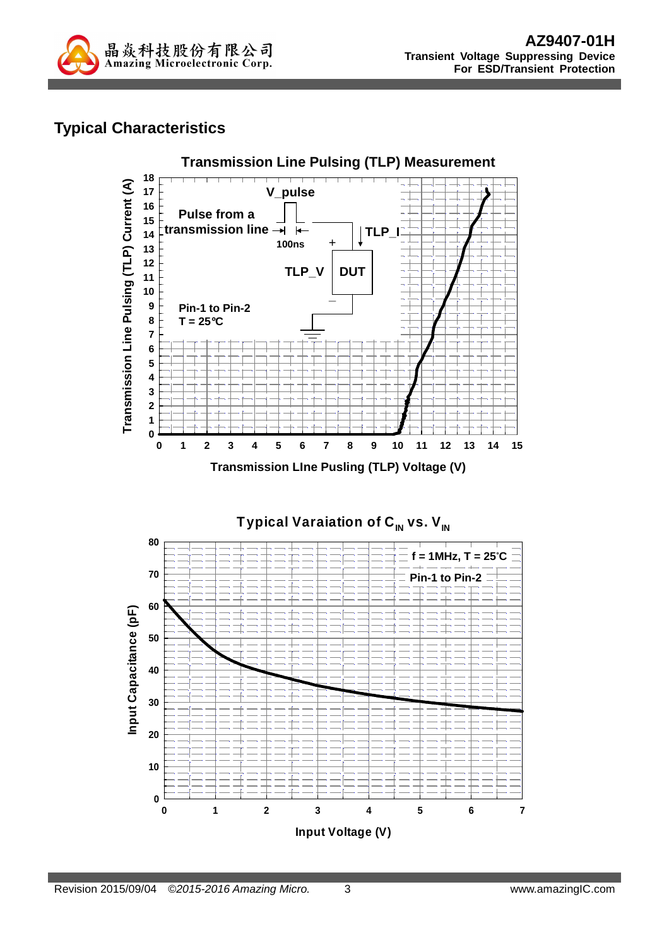

# **Typical Characteristics**



Typical Varaiation of C<sub>IN</sub> vs. V<sub>IN</sub> **80 f = 1MHz, T = 25**°**C70 Pin-1 to Pin-2 60** Input Capacitance (pF) **Input Capacitance (pF) 50 40 30 20 10 0 0 1 2 3 4 5 6 7 Input Voltage (V)**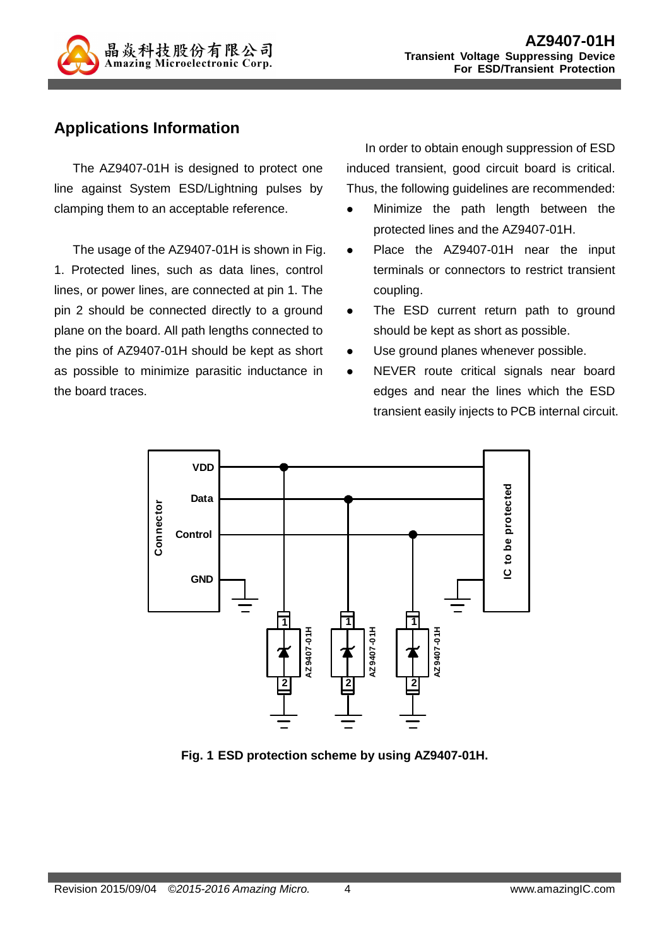

# **Applications Information**

The AZ9407-01H is designed to protect one line against System ESD/Lightning pulses by clamping them to an acceptable reference.

The usage of the AZ9407-01H is shown in Fig. 1. Protected lines, such as data lines, control lines, or power lines, are connected at pin 1. The pin 2 should be connected directly to a ground plane on the board. All path lengths connected to the pins of AZ9407-01H should be kept as short as possible to minimize parasitic inductance in the board traces.

In order to obtain enough suppression of ESD induced transient, good circuit board is critical. Thus, the following guidelines are recommended:

- Minimize the path length between the protected lines and the AZ9407-01H.
- Place the AZ9407-01H near the input terminals or connectors to restrict transient coupling.
- The ESD current return path to ground should be kept as short as possible.
- Use ground planes whenever possible.
- NEVER route critical signals near board edges and near the lines which the ESD transient easily injects to PCB internal circuit.



**Fig. 1 ESD protection scheme by using AZ9407-01H.**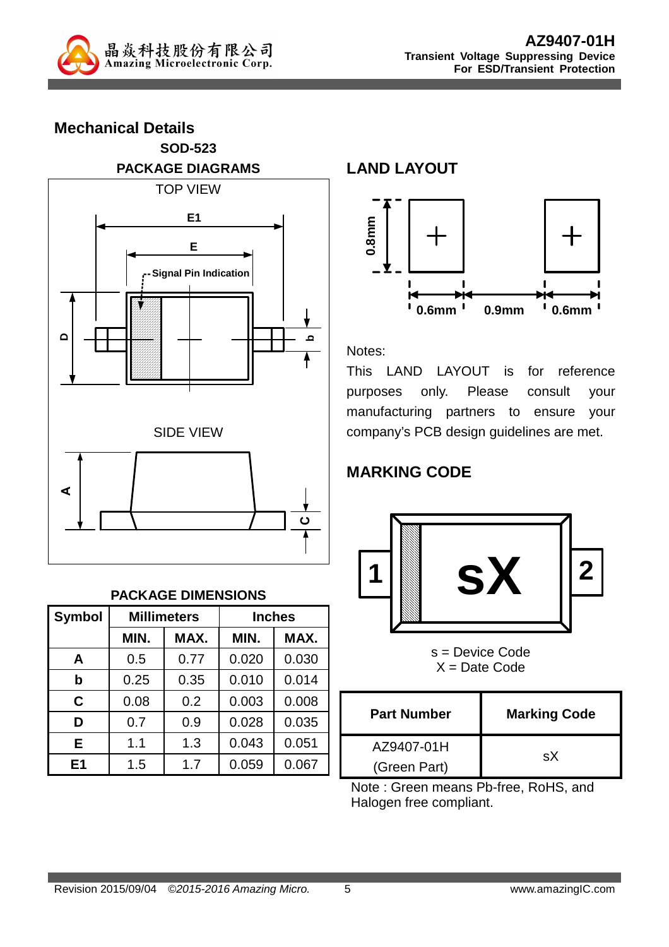

**Mechanical Details SOD-523 PACKAGE DIAGRAMS**  TOP VIEW **DbE E1 Signal Pin Indication** SIDE VIEW **A C**

#### **PACKAGE DIMENSIONS**

| <b>Symbol</b>  |      | <b>Millimeters</b> |       | <b>Inches</b> |
|----------------|------|--------------------|-------|---------------|
|                | MIN. | MAX.               | MIN.  | MAX.          |
| A              | 0.5  | 0.77               | 0.020 | 0.030         |
| b              | 0.25 | 0.35               | 0.010 | 0.014         |
| C              | 0.08 | 0.2                | 0.003 | 0.008         |
| D              | 0.7  | 0.9                | 0.028 | 0.035         |
| Е              | 1.1  | 1.3                | 0.043 | 0.051         |
| E <sub>1</sub> | 1.5  | 1.7                | 0.059 | 0.067         |

**LAND LAYOUT**



Notes:

This LAND LAYOUT is for reference purposes only. Please consult your manufacturing partners to ensure your company's PCB design guidelines are met.

# **MARKING CODE**



s = Device Code  $X =$  Date Code

| <b>Part Number</b> | <b>Marking Code</b> |  |
|--------------------|---------------------|--|
| AZ9407-01H         | sX                  |  |
| (Green Part)       |                     |  |

Note : Green means Pb-free, RoHS, and Halogen free compliant.